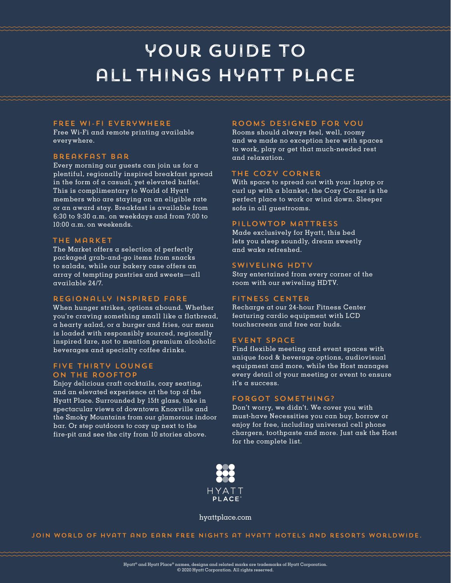# your guide to all things hyatt place

#### free wi-fi everywhere

Free Wi-Fi and remote printing available everywhere.

#### breakfast bar

Every morning our guests can join us for a plentiful, regionally inspired breakfast spread in the form of a casual, yet elevated buffet. This is complimentary to World of Hyatt members who are staying on an eligible rate or an award stay. Breakfast is available from 6:30 to 9:30 a.m. on weekdays and from 7:00 to 10:00 a.m. on weekends.

## the market

The Market offers a selection of perfectly packaged grab-and-go items from snacks to salads, while our bakery case offers an array of tempting pastries and sweets—all available 24/7.

### regionally inspired fare

When hunger strikes, options abound. Whether you're craving something small like a flatbread, a hearty salad, or a burger and fries, our menu is loaded with responsibly sourced, regionally inspired fare, not to mention premium alcoholic beverages and specialty coffee drinks.

### Five Thirty Lounge on the Rooftop

Enjoy delicious craft cocktails, cozy seating, and an elevated experience at the top of the Hyatt Place. Surrounded by 15ft glass, take in spectacular views of downtown Knoxville and the Smoky Mountains from our glamorous indoor bar. Or step outdoors to cozy up next to the fire-pit and see the city from 10 stories above.

#### rooms designed for you

Rooms should always feel, well, roomy and we made no exception here with spaces to work, play or get that much-needed rest and relaxation.

#### the cozy corner

With space to spread out with your laptop or curl up with a blanket, the Cozy Corner is the perfect place to work or wind down. Sleeper sofa in all guestrooms.

#### pillowtop mattress

Made exclusively for Hyatt, this bed lets you sleep soundly, dream sweetly and wake refreshed.

#### swiveling hdtv

Stay entertained from every corner of the room with our swiveling HDTV.

#### fitness center

Recharge at our 24-hour Fitness Center featuring cardio equipment with LCD touchscreens and free ear buds.

#### event space

Find flexible meeting and event spaces with unique food & beverage options, audiovisual equipment and more, while the Host manages every detail of your meeting or event to ensure it's a success.

#### forgot something?

Don't worry, we didn't. We cover you with must-have Necessities you can buy, borrow or enjoy for free, including universal cell phone chargers, toothpaste and more. Just ask the Host for the complete list.



#### hyattplace.com

join world of hyatt and earn free nights at hyatt hotels and resorts worldwide.